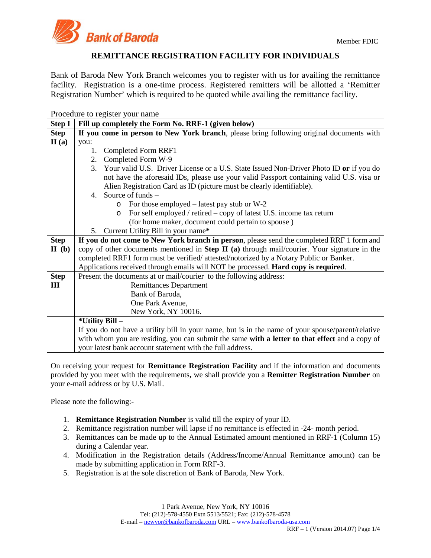

# **REMITTANCE REGISTRATION FACILITY FOR INDIVIDUALS**

Bank of Baroda New York Branch welcomes you to register with us for availing the remittance facility. Registration is a one-time process. Registered remitters will be allotted a 'Remitter Registration Number' which is required to be quoted while availing the remittance facility.

Procedure to register your name

| <b>Step I</b> | Fill up completely the Form No. RRF-1 (given below)                                                      |  |  |  |  |  |  |
|---------------|----------------------------------------------------------------------------------------------------------|--|--|--|--|--|--|
| <b>Step</b>   | If you come in person to New York branch, please bring following original documents with                 |  |  |  |  |  |  |
| II(a)         | you:                                                                                                     |  |  |  |  |  |  |
|               | Completed Form RRF1<br>1.                                                                                |  |  |  |  |  |  |
|               | Completed Form W-9<br>2.                                                                                 |  |  |  |  |  |  |
|               | 3 <sub>1</sub><br>Your valid U.S. Driver License or a U.S. State Issued Non-Driver Photo ID or if you do |  |  |  |  |  |  |
|               | not have the aforesaid IDs, please use your valid Passport containing valid U.S. visa or                 |  |  |  |  |  |  |
|               | Alien Registration Card as ID (picture must be clearly identifiable).                                    |  |  |  |  |  |  |
|               | 4. Source of funds $-$                                                                                   |  |  |  |  |  |  |
|               | For those employed $-$ latest pay stub or W-2<br>$\circ$                                                 |  |  |  |  |  |  |
|               | For self employed / retired – copy of latest U.S. income tax return<br>$\circ$                           |  |  |  |  |  |  |
|               | (for home maker, document could pertain to spouse)                                                       |  |  |  |  |  |  |
|               | Current Utility Bill in your name*<br>5.                                                                 |  |  |  |  |  |  |
| <b>Step</b>   | If you do not come to New York branch in person, please send the completed RRF 1 form and                |  |  |  |  |  |  |
| II(b)         | copy of other documents mentioned in Step II (a) through mail/courier. Your signature in the             |  |  |  |  |  |  |
|               | completed RRF1 form must be verified/attested/notorized by a Notary Public or Banker.                    |  |  |  |  |  |  |
|               | Applications received through emails will NOT be processed. Hard copy is required.                       |  |  |  |  |  |  |
| <b>Step</b>   | Present the documents at or mail/courier to the following address:                                       |  |  |  |  |  |  |
| III           | <b>Remittances Department</b>                                                                            |  |  |  |  |  |  |
|               | Bank of Baroda,                                                                                          |  |  |  |  |  |  |
|               | One Park Avenue,                                                                                         |  |  |  |  |  |  |
|               | New York, NY 10016.                                                                                      |  |  |  |  |  |  |
|               | *Utility Bill –                                                                                          |  |  |  |  |  |  |
|               | If you do not have a utility bill in your name, but is in the name of your spouse/parent/relative        |  |  |  |  |  |  |
|               | with whom you are residing, you can submit the same with a letter to that effect and a copy of           |  |  |  |  |  |  |
|               | your latest bank account statement with the full address.                                                |  |  |  |  |  |  |

On receiving your request for **Remittance Registration Facility** and if the information and documents provided by you meet with the requirements**,** we shall provide you a **Remitter Registration Number** on your e-mail address or by U.S. Mail.

Please note the following:-

- 1. **Remittance Registration Number** is valid till the expiry of your ID.
- 2. Remittance registration number will lapse if no remittance is effected in -24- month period.
- 3. Remittances can be made up to the Annual Estimated amount mentioned in RRF-1 (Column 15) during a Calendar year.
- 4. Modification in the Registration details (Address/Income/Annual Remittance amount) can be made by submitting application in Form RRF-3.
- 5. Registration is at the sole discretion of Bank of Baroda, New York.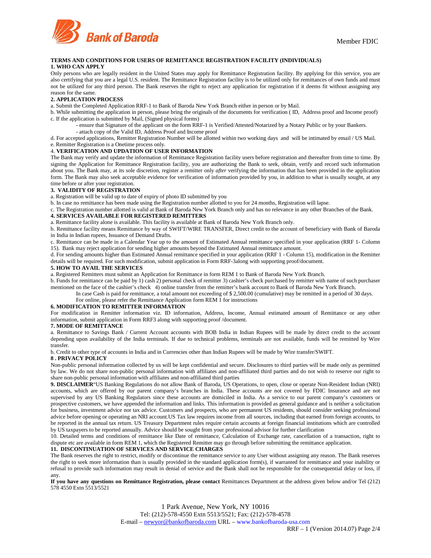

## **TERMS AND CONDITIONS FOR USERS OF REMITTANCE REGISTRATION FACILITY (INDIVIDUALS) 1. WHO CAN APPLY**

Only persons who are legally resident in the United States may apply for Remittance Registration facility. By applying for this service, you are also certifying that you are a legal U.S. resident. The Remittance Registration facility is to be utilized only for remittances of own funds and must not be utilized for any third person. The Bank reserves the right to reject any application for registration if it deems fit without assigning any reason for the same.

#### **2. APPLICATION PROCESS**

a. Submit the Completed Application RRF-1 to Bank of Baroda New York Branch either in person or by Mail.

- b. While submitting the application in person, please bring the originals of the documents for verification ( ID, Address proof and Income proof) c. If the application is submitted by Mail, (Signed physical forms)
	- ensure that Signature of the applicant on the form RRF-1 is Verified/Attested/Notarized by a Notary Public or by your Bankers.
		- attach copy of the Valid ID, Address Proof and Income proof

d. For accepted applications, Remitter Registration Number will be allotted within two working days and will be intimated by email / US Mail. e. Remitter Registration is a Onetime process only.

# 4. **VERIFICATION AND UPDATION OF USER INFORMATION**

The Bank may verify and update the information of Remittance Registration facility users before registration and thereafter from time to time. By signing the Application for Remittance Registration facility, you are authorizing the Bank to seek, obtain, verify and record such information about you. The Bank may, at its sole discretion, register a remitter only *after* verifying the information that has been provided in the application form. The Bank may also seek acceptable evidence for verification of information provided by you, in addition to what is usually sought, at any time before or after your registration.

## **3. VALIDITY OF REGISTRATION**

a. Registration will be valid up to date of expiry of photo ID submitted by you

b. In case no remittance has been made using the Registration number allotted to you for 24 months, Registration will lapse.

c. The Registration number allotted is valid at Bank of Baroda New York Branch only and has no relevance in any other Branches of the Bank.

## **4. SERVICES AVAILABLE FOR REGISTERED REMITTERS**

a. Remittance facility alone is available. This facility is available at Bank of Baroda New York Branch only.

b. Remittance facility means Remittance by way of SWIFT/WIRE TRANSFER, Direct credit to the account of beneficiary with Bank of Baroda in India in Indian rupees, Issuance of Demand Drafts.

c. Remittance can be made in a Calendar Year up to the amount of Estimated Annual remittance specified in your application (RRF 1- Column 15). Bank may reject application for sending higher amounts beyond the Estimated Annual remittance amount.

d. For sending amounts higher than Estimated Annual remittance specified in your application (RRF 1 - Column 15), modification in the Remitter details will be required. For such modification, submit application in Form RRF-3along with supporting proof/document.

### **5. HOW TO AVAIL THE SERVICES**

a. Registered Remitters must submit an Application for Remittance in form REM 1 to Bank of Baroda New York Branch.

b. Funds for remittance can be paid by 1) cash 2) personal check of remitter 3) cashier's check purchased by remitter with name of such purchaser mentioned on the face of the cashier's check 4) online transfer from the remitter's bank account to Bank of Baroda New York Branch.

In case Cash is paid for remittance, a total amount not exceeding of \$ 2,500.00 (cumulative) may be remitted in a period of 30 days.

For online, please refer the Remittance Application form REM 1 for instructions

# **6. MODIFICATION TO REMITTER INFORMATION**

For modification in Remitter information viz. ID information, Address, Income, Annual estimated amount of Remittance or any other information, submit application in Form RRF3 along with supporting proof /document.

#### **7. MODE OF REMITTANCE**

a. Remittance to Savings Bank / Current Account accounts with BOB India in Indian Rupees will be made by direct credit to the account depending upon availability of the India terminals. If due to technical problems, terminals are not available, funds will be remitted by Wire transfer.

b. Credit to other type of accounts in India and in Currencies other than Indian Rupees will be made by Wire transfer/SWIFT.

#### **8 . PRIVACY POLICY**

Non-public personal information collected by us will be kept confidential and secure. Disclosures to third parties will be made only as permitted by law. We do not share non-public personal information with affiliates and non-affiliated third parties and do not wish to reserve our right to share non-public personal information with affiliates and non-affiliated third parties

**9. DISCLAIMER**"US Banking Regulations do not allow Bank of Baroda, US Operations, to open, close or operate Non-Resident Indian (NRI) accounts, which are offered by our parent company's branches in India. These accounts are not covered by FDIC Insurance and are not supervised by any US Banking Regulators since these accounts are domiciled in India. As a service to our parent company's customers or prospective customers, we have appended the information and links. This information is provided as general guidance and is neither a solicitation for business, investment advice nor tax advice. Customers and prospects, who are permanent US residents, should consider seeking professional advice before opening or operating an NRI account.US Tax law requires income from all sources, including that earned from foreign accounts, to be reported in the annual tax return. US Treasury Department rules require certain accounts at foreign financial institutions which are controlled by US taxpayers to be reported annually. Advice should be sought from your professional advisor for further clarification

10. Detailed terms and conditions of remittance like Date of remittance, Calculation of Exchange rate, cancellation of a transaction, right to dispute etc are available in form REM 1, which the Registered Remitter may go through before submitting the remittance application.

# **11. DISCONTINUATION OF SERVICES AND SERVICE CHARGES**

The Bank reserves the right to restrict, modify or discontinue the remittance service to any User without assigning any reason. The Bank reserves the right to seek more information than is usually provided in the standard application form(s), if warranted for remittance and your inability or refusal to provide such information may result in denial of service and the Bank shall not be responsible for the consequential delay or loss, if any.

**If you have any questions on Remittance Registration, please contact** Remittances Department at the address given below and/or Tel (212) 578 4550 Extn 5513/5521

> 1 Park Avenue, New York, NY 10016 Tel: (212)-578-4550 Extn 5513/5521; Fax: (212)-578-4578 E-mail – [newyor@bankofbaroda.com](mailto:newyor@bankofbaroda.com) URL – www.bankofbaroda-usa.com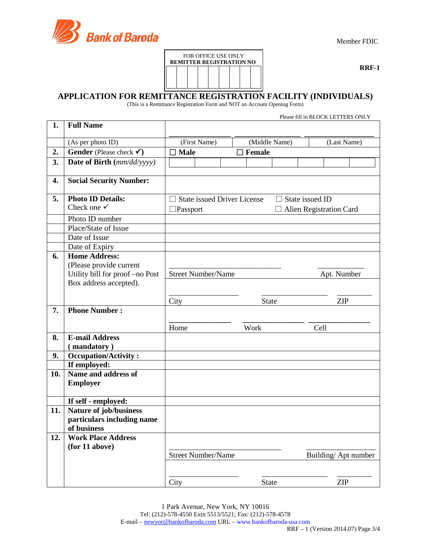



**RRF-1**

# **APPLICATION FOR REMITTANCE REGISTRATION FACILITY (INDIVIDUALS)**

(This is a Remittance Registration Form and NOT an Account Opening Form)

|     |                                                                                    |                                    |              | Please fill in BLOCK LETTERS ONLY |
|-----|------------------------------------------------------------------------------------|------------------------------------|--------------|-----------------------------------|
| 1.  | <b>Full Name</b>                                                                   |                                    |              |                                   |
|     | (As per photo ID)                                                                  | (First Name)                       | (Last Name)  |                                   |
| 2.  | Gender (Please check $\checkmark$ )                                                | <b>Male</b>                        | Female       |                                   |
| 3.  | Date of Birth (mm/dd/yyyy)                                                         |                                    |              |                                   |
| 4.  | <b>Social Security Number:</b>                                                     |                                    |              |                                   |
| 5.  | <b>Photo ID Details:</b>                                                           | <b>State issued Driver License</b> |              | $\Box$ State issued ID            |
|     | Check one $\checkmark$                                                             | $\Box$ Passport                    |              | $\Box$ Alien Registration Card    |
|     | Photo ID number                                                                    |                                    |              |                                   |
|     | Place/State of Issue                                                               |                                    |              |                                   |
|     | Date of Issue                                                                      |                                    |              |                                   |
|     | Date of Expiry                                                                     |                                    |              |                                   |
| 6.  | <b>Home Address:</b><br>(Please provide current<br>Utility bill for proof -no Post | <b>Street Number/Name</b>          |              | Apt. Number                       |
|     | Box address accepted).                                                             |                                    |              |                                   |
|     |                                                                                    | City                               | <b>State</b> | <b>ZIP</b>                        |
| 7.  | <b>Phone Number:</b>                                                               |                                    |              |                                   |
|     |                                                                                    | Home                               | Work         | Cell                              |
| 8.  | <b>E-mail Address</b>                                                              |                                    |              |                                   |
|     | (mandatory)                                                                        |                                    |              |                                   |
| 9.  | <b>Occupation/Activity:</b>                                                        |                                    |              |                                   |
|     | If employed:                                                                       |                                    |              |                                   |
| 10. | Name and address of<br><b>Employer</b>                                             |                                    |              |                                   |
|     | If self - employed:                                                                |                                    |              |                                   |
| 11. | Nature of job/business                                                             |                                    |              |                                   |
|     | particulars including name                                                         |                                    |              |                                   |
|     | of business                                                                        |                                    |              |                                   |
| 12. | <b>Work Place Address</b>                                                          |                                    |              |                                   |
|     | (for 11 above)                                                                     |                                    |              |                                   |
|     |                                                                                    | <b>Street Number/Name</b>          |              | Building/Apt number               |
|     |                                                                                    |                                    |              |                                   |
|     |                                                                                    | City                               | <b>State</b> | <b>ZIP</b>                        |